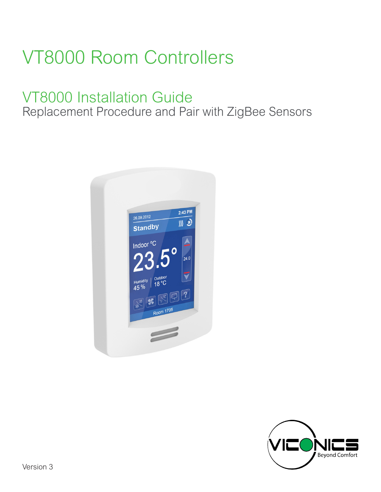## VT8000 Room Controllers

## VT8000 Installation Guide

Replacement Procedure and Pair with ZigBee Sensors



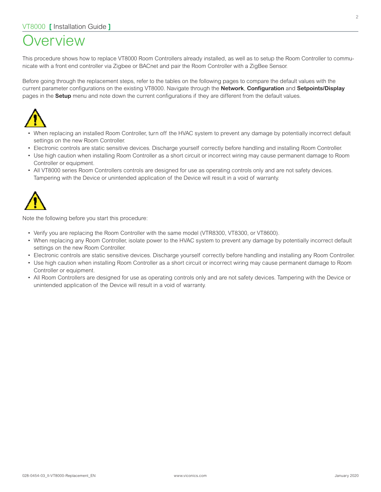### **Jerview**

This procedure shows how to replace VT8000 Room Controllers already installed, as well as to setup the Room Controller to communicate with a front end controller via Zigbee or BACnet and pair the Room Controller with a ZigBee Sensor.

Before going through the replacement steps, refer to the tables on the following pages to compare the default values with the current parameter configurations on the existing VT8000. Navigate through the **Network**, **Configuration** and **Setpoints/Display** pages in the **Setup** menu and note down the current configurations if they are different from the default values.



- When replacing an installed Room Controller, turn off the HVAC system to prevent any damage by potentially incorrect default settings on the new Room Controller.
- Electronic controls are static sensitive devices. Discharge yourself correctly before handling and installing Room Controller.
- Use high caution when installing Room Controller as a short circuit or incorrect wiring may cause permanent damage to Room Controller or equipment.
- All VT8000 series Room Controllers controls are designed for use as operating controls only and are not safety devices. Tampering with the Device or unintended application of the Device will result in a void of warranty.



Note the following before you start this procedure:

- Verify you are replacing the Room Controller with the same model (VTR8300, VT8300, or VT8600).
- When replacing any Room Controller, isolate power to the HVAC system to prevent any damage by potentially incorrect default settings on the new Room Controller.
- Electronic controls are static sensitive devices. Discharge yourself correctly before handling and installing any Room Controller.
- Use high caution when installing Room Controller as a short circuit or incorrect wiring may cause permanent damage to Room Controller or equipment.
- All Room Controllers are designed for use as operating controls only and are not safety devices. Tampering with the Device or unintended application of the Device will result in a void of warranty.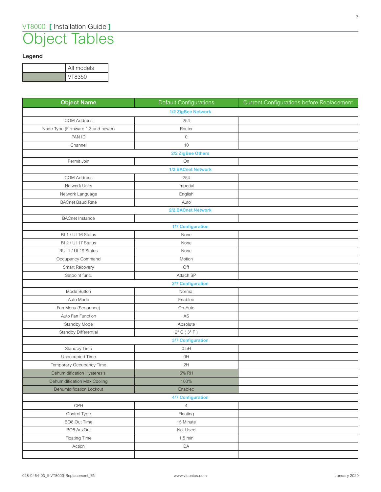### Object Tables

### **Legend**

| All models |
|------------|
| VT8350     |

| <b>Object Name</b>                 | <b>Default Configurations</b>  | <b>Current Configurations before Replacement</b> |
|------------------------------------|--------------------------------|--------------------------------------------------|
|                                    | 1/2 ZigBee Network             |                                                  |
| <b>COM Address</b>                 | 254                            |                                                  |
| Node Type (Firmware 1.3 and newer) | Router                         |                                                  |
| PAN ID                             | $\,0\,$                        |                                                  |
| Channel                            | 10                             |                                                  |
|                                    | 2/2 ZigBee Others              |                                                  |
| Permit Join                        | On                             |                                                  |
|                                    | 1/2 BACnet Network             |                                                  |
| <b>COM Address</b>                 | 254                            |                                                  |
| Network Units                      | Imperial                       |                                                  |
| Network Language                   | English                        |                                                  |
| <b>BACnet Baud Rate</b>            | Auto                           |                                                  |
|                                    | 2/2 BACnet Network             |                                                  |
| <b>BACnet Instance</b>             |                                |                                                  |
|                                    | <b>1/7 Configuration</b>       |                                                  |
| BI 1 / UI 16 Status                | None                           |                                                  |
| BI 2 / UI 17 Status                | None                           |                                                  |
| RUI 1 / UI 19 Status               | None                           |                                                  |
| Occupancy Command                  | Motion                         |                                                  |
| Smart Recovery                     | Off                            |                                                  |
| Setpoint func.                     | Attach SP                      |                                                  |
|                                    | <b>2/7 Configuration</b>       |                                                  |
| Mode Button                        | Normal                         |                                                  |
| Auto Mode                          | Enabled                        |                                                  |
| Fan Menu (Sequence)                | On-Auto                        |                                                  |
| Auto Fan Function                  | $\mathsf{AS}$                  |                                                  |
| Standby Mode                       | Absolute                       |                                                  |
| Standby Differential               | $2^{\circ}$ C (3 $^{\circ}$ F) |                                                  |
|                                    | 3/7 Configuration              |                                                  |
| Standby Time                       | 0.5H                           |                                                  |
| Unoccupied Time                    | 0H                             |                                                  |
| Temporary Occupancy Time           | 2H                             |                                                  |
| Dehumidification Hysteresis        | 5% RH                          |                                                  |
| Dehumidification Max Cooling       | 100%                           |                                                  |
| <b>Dehumidification Lockout</b>    | Enabled                        |                                                  |
|                                    | <b>4/7 Configuration</b>       |                                                  |
| CPH                                | $\overline{4}$                 |                                                  |
| Control Type                       | Floating                       |                                                  |
| BO8 Out Time                       | 15 Minute                      |                                                  |
| BO8 AuxOut                         | Not Used                       |                                                  |
| Floating Time                      | $1.5 \text{ min}$              |                                                  |
| Action                             | DA                             |                                                  |
|                                    |                                |                                                  |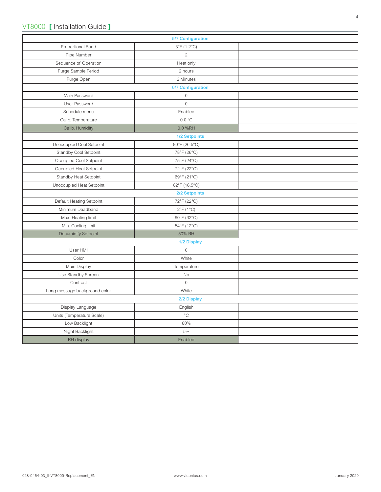|                               | <b>5/7 Configuration</b> |  |  |  |
|-------------------------------|--------------------------|--|--|--|
| Proportional Band             | 3°F (1.2°C)              |  |  |  |
| Pipe Number                   | $\overline{2}$           |  |  |  |
| Sequence of Operation         | Heat only                |  |  |  |
| Purge Sample Period           | 2 hours                  |  |  |  |
| Purge Open                    | 2 Minutes                |  |  |  |
| <b>6/7 Configuration</b>      |                          |  |  |  |
| Main Password                 | $\mathbb O$              |  |  |  |
| User Password                 | $\mathbf 0$              |  |  |  |
| Schedule menu                 | Enabled                  |  |  |  |
| Calib. Temperature            | 0.0 °C                   |  |  |  |
| Calib. Humidity               | 0.0 %RH                  |  |  |  |
|                               | 1/2 Setpoints            |  |  |  |
| Unoccupied Cool Setpoint      | 80°F (26.5°C)            |  |  |  |
| Standby Cool Setpoint         | 78°F (26°C)              |  |  |  |
| Occupied Cool Setpoint        | 75°F (24°C)              |  |  |  |
| Occupied Heat Setpoint        | 72°F (22°C)              |  |  |  |
| Standby Heat Setpoint         | 69°F (21°C)              |  |  |  |
| Unoccupied Heat Setpoint      | 62°F (16.5°C)            |  |  |  |
|                               | 2/2 Setpoints            |  |  |  |
| Default Heating Setpoint      | 72°F (22°C)              |  |  |  |
| Minimum Deadband              | $2^{\circ}F(1^{\circ}C)$ |  |  |  |
| Max. Heating limit            | 90°F (32°C)              |  |  |  |
| Min. Cooling limit            | 54°F (12°C)              |  |  |  |
| <b>Dehumidify Setpoint</b>    | 50% RH                   |  |  |  |
|                               | 1/2 Display              |  |  |  |
| User HMI                      | $\mathbf 0$              |  |  |  |
| Color                         | White                    |  |  |  |
| Main Display                  | Temperature              |  |  |  |
| Use Standby Screen            | No                       |  |  |  |
| Contrast                      | $\mathbf 0$              |  |  |  |
| Long message background color | White                    |  |  |  |
|                               | 2/2 Display              |  |  |  |
| Display Language              | English                  |  |  |  |
| Units (Temperature Scale)     | $^{\circ}{\rm C}$        |  |  |  |
| Low Backlight                 | 60%                      |  |  |  |
| Night Backlight               | 5%                       |  |  |  |
| RH display                    | Enabled                  |  |  |  |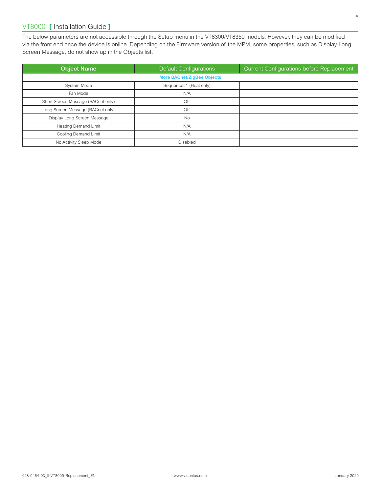### VT8000 **[** Installation Guide **]**

The below parameters are not accessible through the Setup menu in the VT8300/VT8350 models. However, they can be modified via the front end once the device is online. Depending on the Firmware version of the MPM, some properties, such as Display Long Screen Message, do not show up in the Objects list.

| <b>Object Name</b>                 | Default Configurations | <b>Current Configurations before Replacement</b> |  |
|------------------------------------|------------------------|--------------------------------------------------|--|
| <b>More BACnet/ZigBee Objects</b>  |                        |                                                  |  |
| System Mode                        | Sequence#1 (Heat only) |                                                  |  |
| Fan Mode                           | N/A                    |                                                  |  |
| Short Screen Message (BACnet only) | Off                    |                                                  |  |
| Long Screen Message (BACnet only)  | Off                    |                                                  |  |
| Display Long Screen Message        | <b>No</b>              |                                                  |  |
| <b>Heating Demand Limit</b>        | N/A                    |                                                  |  |
| Cooling Demand Limit               | N/A                    |                                                  |  |
| No Activity Sleep Mode             | Disabled               |                                                  |  |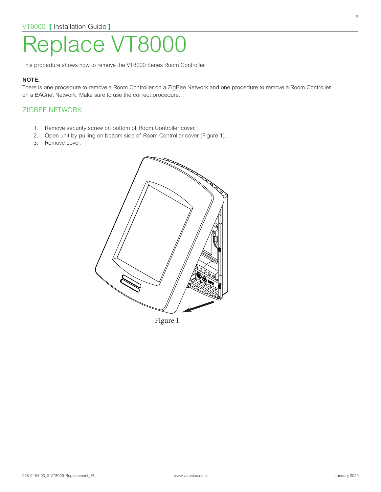# Replace VT800

This procedure shows how to remove the VT8000 Series Room Controller.

#### **NOTE:**

There is one procedure to remove a Room Controller on a ZigBee Network and one procedure to remove a Room Controller on a BACnet Network. Make sure to use the correct procedure.

#### ZIGBEE NETWORK

- 1. Remove security screw on bottom of Room Controller cover.
- 2. Open unit by pulling on bottom side of Room Controller cover (Figure 1).
- 3. Remove cover.

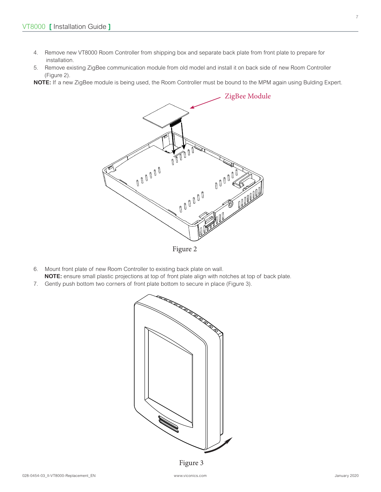- 4. Remove new VT8000 Room Controller from shipping box and separate back plate from front plate to prepare for installation.
- 5. Remove existing ZigBee communication module from old model and install it on back side of new Room Controller (Figure 2).

**NOTE:** If a new ZigBee module is being used, the Room Controller must be bound to the MPM again using Bulding Expert.



6. Mount front plate of new Room Controller to existing back plate on wall. **NOTE:** ensure small plastic projections at top of front plate align with notches at top of back plate.

7. Gently push bottom two corners of front plate bottom to secure in place (Figure 3).



Figure 3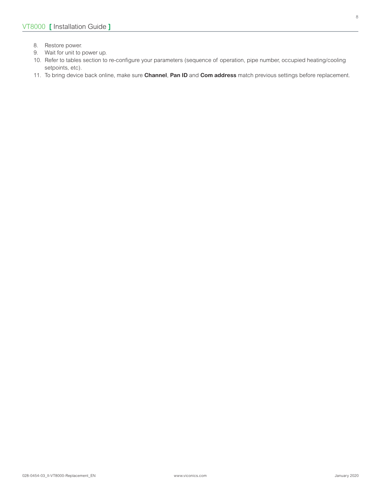- 8. Restore power.
- 9. Wait for unit to power up.
- 10. Refer to tables section to re-configure your parameters (sequence of operation, pipe number, occupied heating/cooling setpoints, etc).
- 11. To bring device back online, make sure **Channel**, **Pan ID** and **Com address** match previous settings before replacement.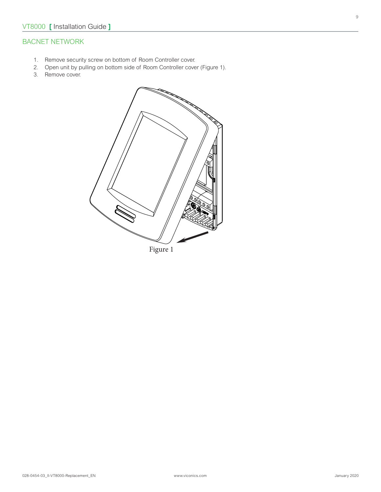### BACNET NETWORK

- 1. Remove security screw on bottom of Room Controller cover.
- 2. Open unit by pulling on bottom side of Room Controller cover (Figure 1).
- 3. Remove cover.

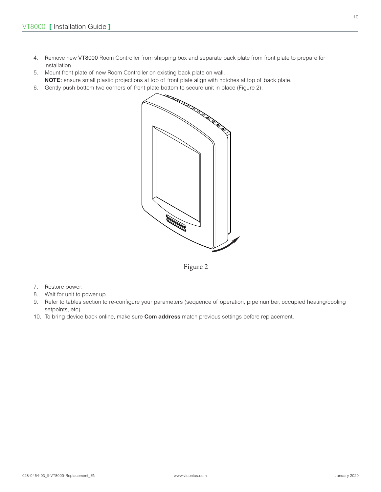- 4. Remove new VT8000 Room Controller from shipping box and separate back plate from front plate to prepare for installation.
- 5. Mount front plate of new Room Controller on existing back plate on wall. **NOTE:** ensure small plastic projections at top of front plate align with notches at top of back plate.
- 6. Gently push bottom two corners of front plate bottom to secure unit in place (Figure 2).



Figure 2

- 7. Restore power.
- 8. Wait for unit to power up.
- 9. Refer to tables section to re-configure your parameters (sequence of operation, pipe number, occupied heating/cooling setpoints, etc).
- 10. To bring device back online, make sure **Com address** match previous settings before replacement.